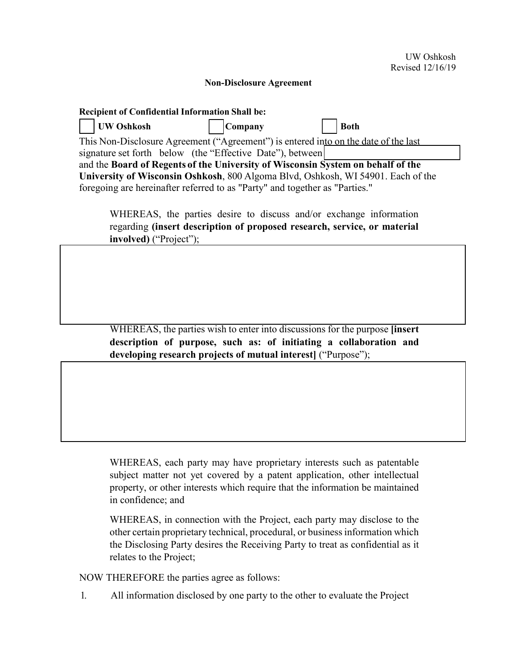## **Non-Disclosure Agreement**

| <b>Recipient of Confidential Information Shall be:</b>                              |                |             |  |
|-------------------------------------------------------------------------------------|----------------|-------------|--|
| UW Oshkosh                                                                          | <b>Company</b> | <b>Both</b> |  |
| This Non-Disclosure Agreement ("Agreement") is entered into on the date of the last |                |             |  |
| signature set forth below (the "Effective Date"), between                           |                |             |  |
| and the Board of Regents of the University of Wisconsin System on behalf of the     |                |             |  |
| University of Wisconsin Oshkosh, 800 Algoma Blvd, Oshkosh, WI 54901. Each of the    |                |             |  |
| foregoing are hereinafter referred to as "Party" and together as "Parties."         |                |             |  |

WHEREAS, the parties desire to discuss and/or exchange information regarding **(insert description of proposed research, service, or material involved)** ("Project");

WHEREAS, the parties wish to enter into discussions for the purpose **[insert description of purpose, such as: of initiating a collaboration and developing research projects of mutual interest]** ("Purpose");

WHEREAS, each party may have proprietary interests such as patentable subject matter not yet covered by a patent application, other intellectual property, or other interests which require that the information be maintained in confidence; and

WHEREAS, in connection with the Project, each party may disclose to the other certain proprietary technical, procedural, or business information which the Disclosing Party desires the Receiving Party to treat as confidential as it relates to the Project;

NOW THEREFORE the parties agree as follows:

1. All information disclosed by one party to the other to evaluate the Project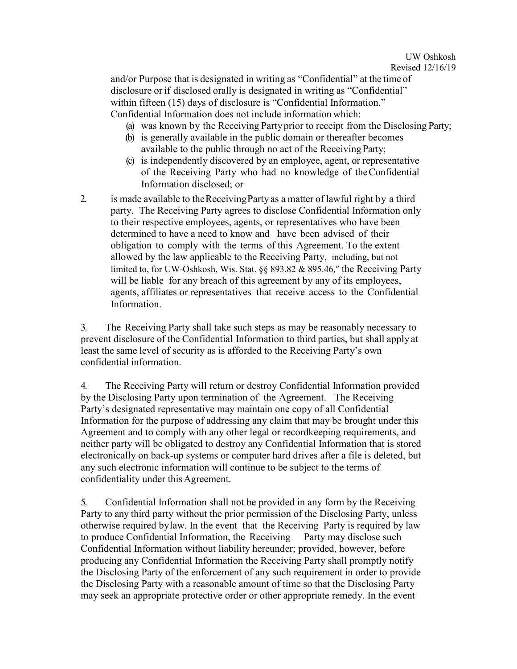and/or Purpose that is designated in writing as "Confidential" at the time of disclosure or if disclosed orally is designated in writing as "Confidential" within fifteen (15) days of disclosure is "Confidential Information." Confidential Information does not include information which:

- (a) was known by the Receiving Partyprior to receipt from the Disclosing Party;
- (b) is generally available in the public domain or thereafter becomes available to the public through no act of the ReceivingParty;
- (c) is independently discovered by an employee, agent, or representative of the Receiving Party who had no knowledge of theConfidential Information disclosed; or
- 2. is made available to theReceivingParty as a matter of lawful right by a third party. The Receiving Party agrees to disclose Confidential Information only to their respective employees, agents, or representatives who have been determined to have a need to know and have been advised of their obligation to comply with the terms of this Agreement. To the extent allowed by the law applicable to the Receiving Party, including, but not limited to, for UW-Oshkosh, Wis. Stat. §§ 893.82 & 895.46," the Receiving Party will be liable for any breach of this agreement by any of its employees, agents, affiliates or representatives that receive access to the Confidential Information.

3. The Receiving Party shall take such steps as may be reasonably necessary to prevent disclosure of the Confidential Information to third parties, but shall apply at least the same level of security as is afforded to the Receiving Party's own confidential information.

4. The Receiving Party will return or destroy Confidential Information provided by the Disclosing Party upon termination of the Agreement. The Receiving Party's designated representative may maintain one copy of all Confidential Information for the purpose of addressing any claim that may be brought under this Agreement and to comply with any other legal or recordkeeping requirements, and neither party will be obligated to destroy any Confidential Information that is stored electronically on back-up systems or computer hard drives after a file is deleted, but any such electronic information will continue to be subject to the terms of confidentiality under this Agreement.

5. Confidential Information shall not be provided in any form by the Receiving Party to any third party without the prior permission of the Disclosing Party, unless otherwise required bylaw. In the event that the Receiving Party is required by law to produce Confidential Information, the Receiving Party may disclose such Confidential Information without liability hereunder; provided, however, before producing any Confidential Information the Receiving Party shall promptly notify the Disclosing Party of the enforcement of any such requirement in order to provide the Disclosing Party with a reasonable amount of time so that the Disclosing Party may seek an appropriate protective order or other appropriate remedy. In the event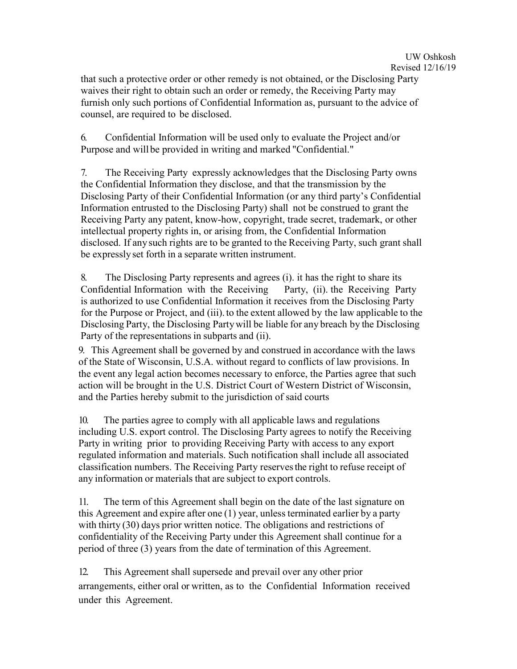that such a protective order or other remedy is not obtained, or the Disclosing Party waives their right to obtain such an order or remedy, the Receiving Party may furnish only such portions of Confidential Information as, pursuant to the advice of counsel, are required to be disclosed.

6. Confidential Information will be used only to evaluate the Project and/or Purpose and will be provided in writing and marked "Confidential."

7. The Receiving Party expressly acknowledges that the Disclosing Party owns the Confidential Information they disclose, and that the transmission by the Disclosing Party of their Confidential Information (or any third party's Confidential Information entrusted to the Disclosing Party) shall not be construed to grant the Receiving Party any patent, know-how, copyright, trade secret, trademark, or other intellectual property rights in, or arising from, the Confidential Information disclosed. If any such rights are to be granted to the Receiving Party, such grant shall be expresslyset forth in a separate written instrument.

8. The Disclosing Party represents and agrees (i). it has the right to share its Confidential Information with the Receiving Party, (ii). the Receiving Party is authorized to use Confidential Information it receives from the Disclosing Party for the Purpose or Project, and (iii) to the extent allowed by the law applicable to the Disclosing Party, the Disclosing Partywill be liable for any breach by the Disclosing Party of the representations in subparts and (ii).

9. This Agreement shall be governed by and construed in accordance with the laws of the State of Wisconsin, U.S.A. without regard to conflicts of law provisions. In the event any legal action becomes necessary to enforce, the Parties agree that such action will be brought in the U.S. District Court of Western District of Wisconsin, and the Parties hereby submit to the jurisdiction of said courts

10. The parties agree to comply with all applicable laws and regulations including U.S. export control. The Disclosing Party agrees to notify the Receiving Party in writing prior to providing Receiving Party with access to any export regulated information and materials. Such notification shall include all associated classification numbers. The Receiving Party reservesthe right to refuse receipt of any information or materials that are subject to export controls.

11. The term of this Agreement shall begin on the date of the last signature on this Agreement and expire after one (1) year, unless terminated earlier by a party with thirty (30) days prior written notice. The obligations and restrictions of confidentiality of the Receiving Party under this Agreement shall continue for a period of three (3) years from the date of termination of this Agreement.

12. This Agreement shall supersede and prevail over any other prior arrangements, either oral or written, as to the Confidential Information received under this Agreement.